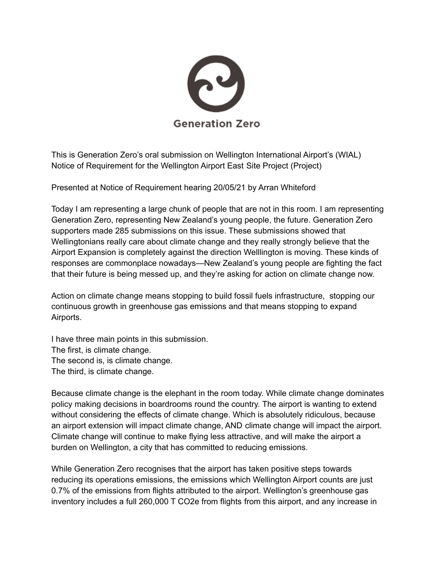

This is Generation Zero's oral submission on Wellington International Airport's (WIAL) Notice of Requirement for the Wellington Airport East Site Project (Project)

Presented at Notice of Requirement hearing 20/05/21 by Arran Whiteford

Today I am representing a large chunk of people that are not in this room. I am representing Generation Zero, representing New Zealand's young people, the future. Generation Zero supporters made 285 submissions on this issue. These submissions showed that Wellingtonians really care about climate change and they really strongly believe that the Airport Expansion is completely against the direction Welllington is moving. These kinds of responses are commonplace nowadays—New Zealand's young people are fighting the fact that their future is being messed up, and they're asking for action on climate change now.

Action on climate change means stopping to build fossil fuels infrastructure, stopping our continuous growth in greenhouse gas emissions and that means stopping to expand Airports.

I have three main points in this submission. The first, is climate change. The second is, is climate change. The third, is climate change.

Because climate change is the elephant in the room today. While climate change dominates policy making decisions in boardrooms round the country. The airport is wanting to extend without considering the effects of climate change. Which is absolutely ridiculous, because an airport extension will impact climate change, AND climate change will impact the airport. Climate change will continue to make flying less attractive, and will make the airport a burden on Wellington, a city that has committed to reducing emissions.

While Generation Zero recognises that the airport has taken positive steps towards reducing its operations emissions, the emissions which Wellington Airport counts are just 0.7% of the emissions from flights attributed to the airport. Wellington's greenhouse gas inventory includes a full 260,000 T CO2e from flights from this airport, and any increase in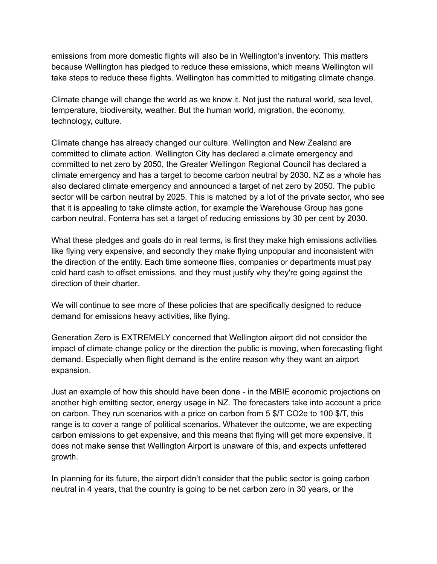emissions from more domestic flights will also be in Wellington's inventory. This matters because Wellington has pledged to reduce these emissions, which means Wellington will take steps to reduce these flights. Wellington has committed to mitigating climate change.

Climate change will change the world as we know it. Not just the natural world, sea level, temperature, biodiversity, weather. But the human world, migration, the economy, technology, culture.

Climate change has already changed our culture. Wellington and New Zealand are committed to climate action. Wellington City has declared a climate emergency and committed to net zero by 2050, the Greater Wellingon Regional Council has declared a climate emergency and has a target to become carbon neutral by 2030. NZ as a whole has also declared climate emergency and announced a target of net zero by 2050. The public sector will be carbon neutral by 2025. This is matched by a lot of the private sector, who see that it is appealing to take climate action, for example the Warehouse Group has gone carbon neutral, Fonterra has set a target of reducing emissions by 30 per cent by 2030.

What these pledges and goals do in real terms, is first they make high emissions activities like flying very expensive, and secondly they make flying unpopular and inconsistent with the direction of the entity. Each time someone flies, companies or departments must pay cold hard cash to offset emissions, and they must justify why they're going against the direction of their charter.

We will continue to see more of these policies that are specifically designed to reduce demand for emissions heavy activities, like flying.

Generation Zero is EXTREMELY concerned that Wellington airport did not consider the impact of climate change policy or the direction the public is moving, when forecasting flight demand. Especially when flight demand is the entire reason why they want an airport expansion.

Just an example of how this should have been done - in the MBIE economic projections on another high emitting sector, energy usage in NZ. The forecasters take into account a price on carbon. They run scenarios with a price on carbon from 5 \$/T CO2e to 100 \$/T, this range is to cover a range of political scenarios. Whatever the outcome, we are expecting carbon emissions to get expensive, and this means that flying will get more expensive. It does not make sense that Wellington Airport is unaware of this, and expects unfettered growth.

In planning for its future, the airport didn't consider that the public sector is going carbon neutral in 4 years, that the country is going to be net carbon zero in 30 years, or the